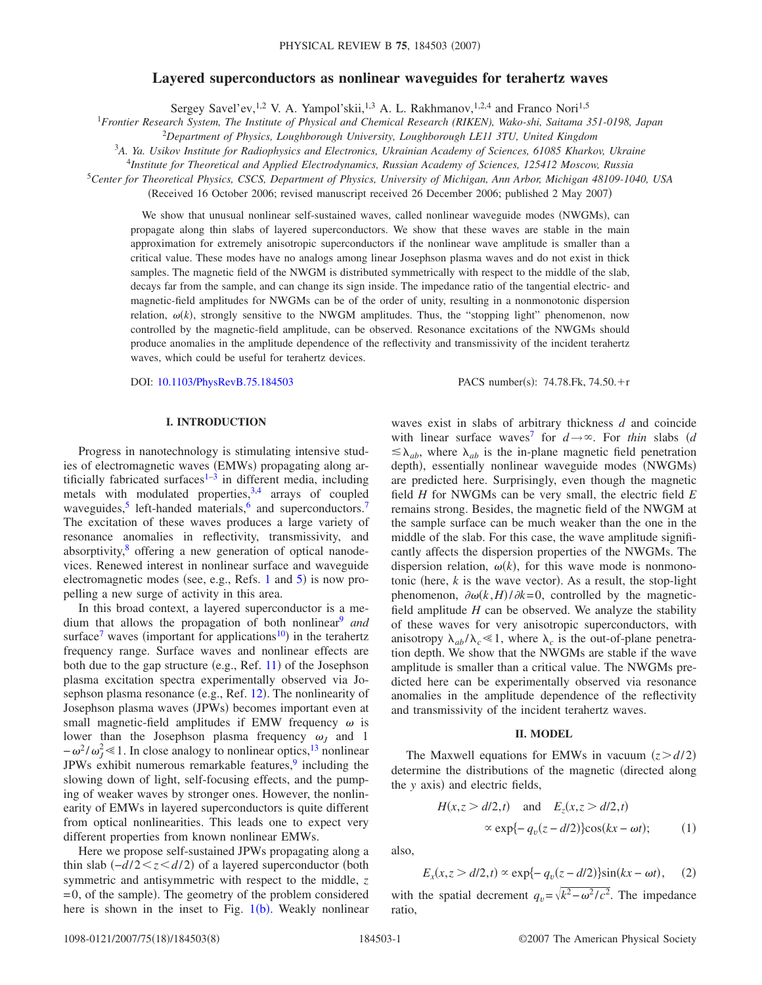## **Layered superconductors as nonlinear waveguides for terahertz waves**

Sergey Savel'ev,<sup>1,2</sup> V. A. Yampol'skii,<sup>1,3</sup> A. L. Rakhmanov,<sup>1,2,4</sup> and Franco Nori<sup>1,5</sup>

1 *Frontier Research System, The Institute of Physical and Chemical Research (RIKEN), Wako-shi, Saitama 351-0198, Japan*

<sup>2</sup>*Department of Physics, Loughborough University, Loughborough LE11 3TU, United Kingdom*

3 *A. Ya. Usikov Institute for Radiophysics and Electronics, Ukrainian Academy of Sciences, 61085 Kharkov, Ukraine*

<sup>4</sup>*Institute for Theoretical and Applied Electrodynamics, Russian Academy of Sciences, 125412 Moscow, Russia*

<sup>5</sup>*Center for Theoretical Physics, CSCS, Department of Physics, University of Michigan, Ann Arbor, Michigan 48109-1040, USA*

(Received 16 October 2006; revised manuscript received 26 December 2006; published 2 May 2007)

We show that unusual nonlinear self-sustained waves, called nonlinear waveguide modes (NWGMs), can propagate along thin slabs of layered superconductors. We show that these waves are stable in the main approximation for extremely anisotropic superconductors if the nonlinear wave amplitude is smaller than a critical value. These modes have no analogs among linear Josephson plasma waves and do not exist in thick samples. The magnetic field of the NWGM is distributed symmetrically with respect to the middle of the slab, decays far from the sample, and can change its sign inside. The impedance ratio of the tangential electric- and magnetic-field amplitudes for NWGMs can be of the order of unity, resulting in a nonmonotonic dispersion relation,  $\omega(k)$ , strongly sensitive to the NWGM amplitudes. Thus, the "stopping light" phenomenon, now controlled by the magnetic-field amplitude, can be observed. Resonance excitations of the NWGMs should produce anomalies in the amplitude dependence of the reflectivity and transmissivity of the incident terahertz waves, which could be useful for terahertz devices.

DOI: [10.1103/PhysRevB.75.184503](http://dx.doi.org/10.1103/PhysRevB.75.184503)

 $: 74.78$ . Fk,  $74.50$ . + r

### **I. INTRODUCTION**

Progress in nanotechnology is stimulating intensive studies of electromagnetic waves (EMWs) propagating along artificially fabricated surfaces $1-3$  in different media, including metals with modulated properties,<sup>3,[4](#page-7-2)</sup> arrays of coupled waveguides, $\frac{5}{3}$  left-handed materials,  $\frac{6}{3}$  and superconductors.<sup>7</sup> The excitation of these waves produces a large variety of resonance anomalies in reflectivity, transmissivity, and absorptivity, $\delta$  offering a new generation of optical nanodevices. Renewed interest in nonlinear surface and waveguide electromagnetic modes (see, e.g., Refs. [1](#page-7-0) and  $5$ ) is now propelling a new surge of activity in this area.

In this broad context, a layered superconductor is a medium that allows the propagation of both nonlinear<sup>9</sup> and surface<sup>7</sup> waves (important for applications<sup>10</sup>) in the terahertz frequency range. Surface waves and nonlinear effects are both due to the gap structure (e.g., Ref. [11](#page-7-9)) of the Josephson plasma excitation spectra experimentally observed via Jo-sephson plasma resonance (e.g., Ref. [12](#page-7-10)). The nonlinearity of Josephson plasma waves (JPWs) becomes important even at small magnetic-field amplitudes if EMW frequency  $\omega$  is lower than the Josephson plasma frequency  $\omega_J$  and 1  $-\omega^2/\omega_J^2 \le 1$ . In close analogy to nonlinear optics,<sup>13</sup> nonlinear JPWs exhibit numerous remarkable features, $9$  including the slowing down of light, self-focusing effects, and the pumping of weaker waves by stronger ones. However, the nonlinearity of EMWs in layered superconductors is quite different from optical nonlinearities. This leads one to expect very different properties from known nonlinear EMWs.

Here we propose self-sustained JPWs propagating along a thin slab (-*d*/2 ≤ *z* ≤ *d*/2) of a layered superconductor (both symmetric and antisymmetric with respect to the middle, *z* =0, of the sample). The geometry of the problem considered here is shown in the inset to Fig. [1](#page-1-0)(b). Weakly nonlinear

waves exist in slabs of arbitrary thickness *d* and coincide with linear surface waves<sup>7</sup> for  $d \rightarrow \infty$ . For *thin* slabs (*d*  $\leq \lambda_{ab}$ , where  $\lambda_{ab}$  is the in-plane magnetic field penetration depth), essentially nonlinear waveguide modes (NWGMs) are predicted here. Surprisingly, even though the magnetic field *H* for NWGMs can be very small, the electric field *E* remains strong. Besides, the magnetic field of the NWGM at the sample surface can be much weaker than the one in the middle of the slab. For this case, the wave amplitude significantly affects the dispersion properties of the NWGMs. The dispersion relation,  $\omega(k)$ , for this wave mode is nonmonotonic (here,  $k$  is the wave vector). As a result, the stop-light phenomenon,  $\partial \omega(k, H) / \partial k = 0$ , controlled by the magneticfield amplitude *H* can be observed. We analyze the stability of these waves for very anisotropic superconductors, with anisotropy  $\lambda_{ab}/\lambda_c \ll 1$ , where  $\lambda_c$  is the out-of-plane penetration depth. We show that the NWGMs are stable if the wave amplitude is smaller than a critical value. The NWGMs predicted here can be experimentally observed via resonance anomalies in the amplitude dependence of the reflectivity and transmissivity of the incident terahertz waves.

### **II. MODEL**

The Maxwell equations for EMWs in vacuum  $(z > d/2)$ determine the distributions of the magnetic (directed along the *y* axis) and electric fields,

$$
H(x, z > d/2, t) \quad \text{and} \quad E_z(x, z > d/2, t)
$$
  

$$
\propto \exp\{-q_v(z - d/2)\}\cos(kx - \omega t); \tag{1}
$$

also,

$$
E_x(x, z > d/2, t) \propto \exp\{-q_v(z - d/2)\}\sin(kx - \omega t), \quad (2)
$$

with the spatial decrement  $q_v = \sqrt{k^2 - \omega^2/c^2}$ . The impedance ratio,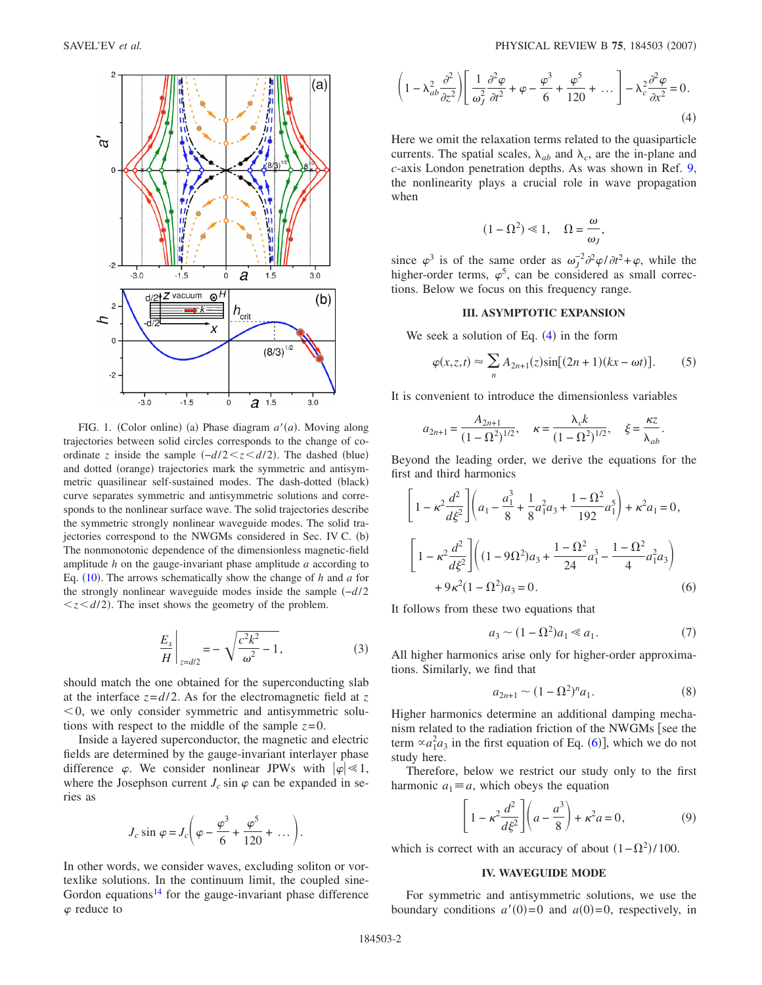<span id="page-1-0"></span>

FIG. 1. (Color online) (a) Phase diagram  $a'(a)$ . Moving along trajectories between solid circles corresponds to the change of coordinate *z* inside the sample  $(-d/2 \le z \le d/2)$ . The dashed (blue) and dotted (orange) trajectories mark the symmetric and antisymmetric quasilinear self-sustained modes. The dash-dotted (black) curve separates symmetric and antisymmetric solutions and corresponds to the nonlinear surface wave. The solid trajectories describe the symmetric strongly nonlinear waveguide modes. The solid trajectories correspond to the NWGMs considered in Sec. IV C. (b) The nonmonotonic dependence of the dimensionless magnetic-field amplitude *h* on the gauge-invariant phase amplitude *a* according to Eq.  $(10)$  $(10)$  $(10)$ . The arrows schematically show the change of *h* and *a* for the strongly nonlinear waveguide modes inside the sample −*d*/2  $\langle z \langle d/2 \rangle$ . The inset shows the geometry of the problem.

$$
\left. \frac{E_x}{H} \right|_{z = d/2} = -\sqrt{\frac{c^2 k^2}{\omega^2} - 1},\tag{3}
$$

should match the one obtained for the superconducting slab at the interface  $z = d/2$ . As for the electromagnetic field at  $z$  $0$ , we only consider symmetric and antisymmetric solutions with respect to the middle of the sample  $z=0$ .

Inside a layered superconductor, the magnetic and electric fields are determined by the gauge-invariant interlayer phase difference  $\varphi$ . We consider nonlinear JPWs with  $|\varphi| \ll 1$ , where the Josephson current  $J_c \sin \varphi$  can be expanded in series as

$$
J_c \sin \varphi = J_c \bigg( \varphi - \frac{\varphi^3}{6} + \frac{\varphi^5}{120} + \dots \bigg).
$$

In other words, we consider waves, excluding soliton or vortexlike solutions. In the continuum limit, the coupled sine-Gordon equations<sup>14</sup> for the gauge-invariant phase difference  $\varphi$  reduce to

<span id="page-1-1"></span>
$$
\left(1 - \lambda_{ab}^2 \frac{\partial^2}{\partial z^2}\right) \left[ \frac{1}{\omega_J^2} \frac{\partial^2 \varphi}{\partial t^2} + \varphi - \frac{\varphi^3}{6} + \frac{\varphi^5}{120} + \dots \right] - \lambda_c^2 \frac{\partial^2 \varphi}{\partial x^2} = 0.
$$
\n(4)

Here we omit the relaxation terms related to the quasiparticle currents. The spatial scales,  $\lambda_{ab}$  and  $\lambda_c$ , are the in-plane and *c*-axis London penetration depths. As was shown in Ref. [9,](#page-7-7) the nonlinearity plays a crucial role in wave propagation when

$$
(1 - \Omega^2) \ll 1, \quad \Omega = \frac{\omega}{\omega_J},
$$

since  $\varphi^3$  is of the same order as  $\omega_J^{-2} \partial^2 \varphi / \partial t^2 + \varphi$ , while the higher-order terms,  $\varphi^5$ , can be considered as small corrections. Below we focus on this frequency range.

# **III. ASYMPTOTIC EXPANSION**

We seek a solution of Eq.  $(4)$  $(4)$  $(4)$  in the form

$$
\varphi(x,z,t) \approx \sum_{n} A_{2n+1}(z) \sin[(2n+1)(kx - \omega t)]. \tag{5}
$$

It is convenient to introduce the dimensionless variables

$$
a_{2n+1} = \frac{A_{2n+1}}{(1 - \Omega^2)^{1/2}}, \quad \kappa = \frac{\lambda_c k}{(1 - \Omega^2)^{1/2}}, \quad \xi = \frac{\kappa z}{\lambda_{ab}}.
$$

Beyond the leading order, we derive the equations for the first and third harmonics

<span id="page-1-2"></span>
$$
\left[1 - \kappa^2 \frac{d^2}{d\xi^2}\right] \left(a_1 - \frac{a_1^3}{8} + \frac{1}{8}a_1^2 a_3 + \frac{1 - \Omega^2}{192}a_1^5\right) + \kappa^2 a_1 = 0,
$$
  

$$
\left[1 - \kappa^2 \frac{d^2}{d\xi^2}\right] \left((1 - 9\Omega^2)a_3 + \frac{1 - \Omega^2}{24}a_1^3 - \frac{1 - \Omega^2}{4}a_1^2 a_3\right)
$$
  

$$
+ 9\kappa^2 (1 - \Omega^2)a_3 = 0.
$$
 (6)

It follows from these two equations that

$$
a_3 \sim (1 - \Omega^2) a_1 \ll a_1. \tag{7}
$$

All higher harmonics arise only for higher-order approximations. Similarly, we find that

$$
a_{2n+1} \sim (1 - \Omega^2)^n a_1. \tag{8}
$$

Higher harmonics determine an additional damping mechanism related to the radiation friction of the NWGMs [see the term  $\alpha a_1^2 a_3$  in the first equation of Eq. ([6](#page-1-2))], which we do not study here.

<span id="page-1-3"></span>Therefore, below we restrict our study only to the first harmonic  $a_1 \equiv a$ , which obeys the equation

$$
\left[1 - \kappa^2 \frac{d^2}{d\xi^2}\right] \left(a - \frac{a^3}{8}\right) + \kappa^2 a = 0,\tag{9}
$$

which is correct with an accuracy of about  $(1 - \Omega^2)/100$ .

#### **IV. WAVEGUIDE MODE**

For symmetric and antisymmetric solutions, we use the boundary conditions  $a'(0)=0$  and  $a(0)=0$ , respectively, in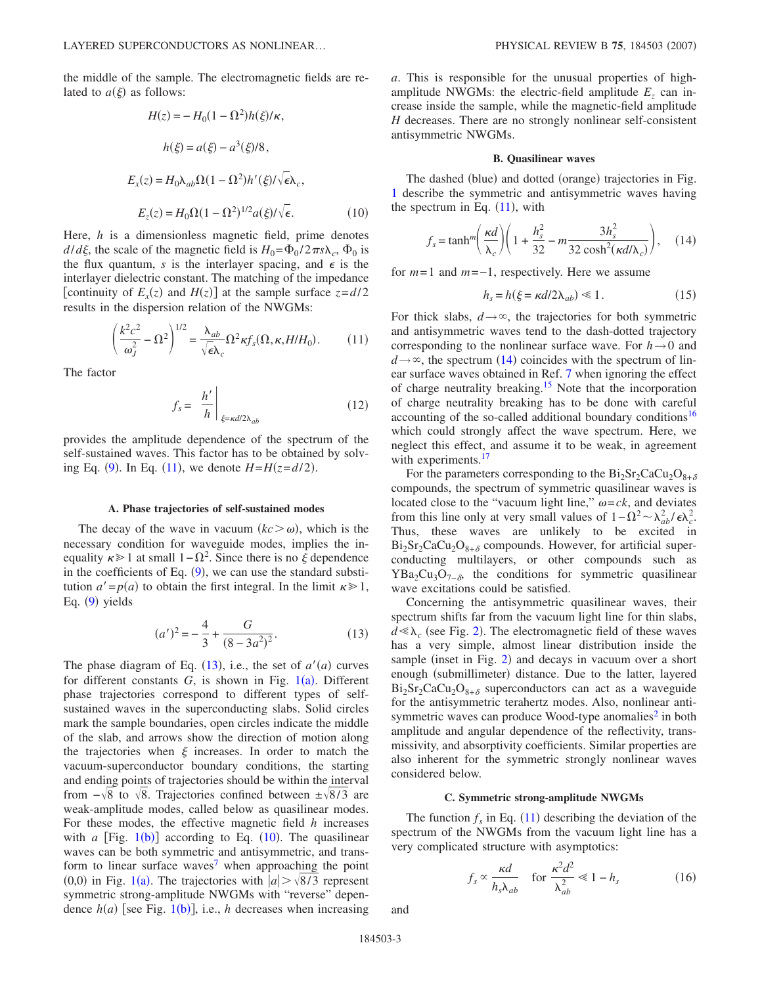<span id="page-2-0"></span>the middle of the sample. The electromagnetic fields are related to  $a(\xi)$  as follows:

$$
H(z) = -H_0(1 - \Omega^2)h(\xi)/\kappa,
$$
  
\n
$$
h(\xi) = a(\xi) - a^3(\xi)/8,
$$
  
\n
$$
E_x(z) = H_0\lambda_{ab}\Omega(1 - \Omega^2)h'(\xi)/\sqrt{\epsilon}\lambda_c,
$$
  
\n
$$
E_z(z) = H_0\Omega(1 - \Omega^2)^{1/2}a(\xi)/\sqrt{\epsilon}.
$$
 (10)

Here, *h* is a dimensionless magnetic field, prime denotes  $d/d\xi$ , the scale of the magnetic field is  $H_0 = \Phi_0 / 2 \pi s \lambda_c$ ,  $\Phi_0$  is the flux quantum, *s* is the interlayer spacing, and  $\epsilon$  is the interlayer dielectric constant. The matching of the impedance [continuity of  $E_x(z)$  and  $H(z)$ ] at the sample surface  $z = d/2$ results in the dispersion relation of the NWGMs:

$$
\left(\frac{k^2c^2}{\omega_J^2} - \Omega^2\right)^{1/2} = \frac{\lambda_{ab}}{\sqrt{\epsilon}\lambda_c}\Omega^2 \kappa f_s(\Omega, \kappa, H/H_0). \tag{11}
$$

<span id="page-2-1"></span>The factor

$$
f_s = \left. \frac{h'}{h} \right|_{\xi = \kappa d/2\lambda_{ab}} \tag{12}
$$

provides the amplitude dependence of the spectrum of the self-sustained waves. This factor has to be obtained by solv-ing Eq. ([9](#page-1-3)). In Eq. ([11](#page-2-1)), we denote  $H = H(z = d/2)$ .

#### **A. Phase trajectories of self-sustained modes**

The decay of the wave in vacuum  $(kc > \omega)$ , which is the necessary condition for waveguide modes, implies the inequality  $\kappa \geq 1$  at small  $1 - \Omega^2$ . Since there is no  $\xi$  dependence in the coefficients of Eq.  $(9)$  $(9)$  $(9)$ , we can use the standard substitution  $a' = p(a)$  to obtain the first integral. In the limit  $\kappa \geq 1$ , Eq. ([9](#page-1-3)) yields

$$
(a')^{2} = -\frac{4}{3} + \frac{G}{(8 - 3a^{2})^{2}}.
$$
 (13)

<span id="page-2-2"></span>The phase diagram of Eq.  $(13)$  $(13)$  $(13)$ , i.e., the set of  $a'(a)$  curves for different constants  $G$ , is shown in Fig.  $1(a)$  $1(a)$ . Different phase trajectories correspond to different types of selfsustained waves in the superconducting slabs. Solid circles mark the sample boundaries, open circles indicate the middle of the slab, and arrows show the direction of motion along the trajectories when  $\xi$  increases. In order to match the vacuum-superconductor boundary conditions, the starting and ending points of trajectories should be within the interval from  $-\sqrt{8}$  to  $\sqrt{8}$ . Trajectories confined between  $\pm \sqrt{8/3}$  are weak-amplitude modes, called below as quasilinear modes. For these modes, the effective magnetic field *h* increases with  $a$  [Fig.  $1(b)$  $1(b)$ ] according to Eq.  $(10)$  $(10)$  $(10)$ . The quasilinear waves can be both symmetric and antisymmetric, and transform to linear surface waves<sup>7</sup> when approaching the point 0,0) in Fig. [1](#page-1-0)(a). The trajectories with  $|a| > \sqrt{8}/3$  represent symmetric strong-amplitude NWGMs with "reverse" dependence  $h(a)$  [see Fig. [1](#page-1-0)(b)], i.e., *h* decreases when increasing

*a*. This is responsible for the unusual properties of highamplitude NWGMs: the electric-field amplitude  $E<sub>z</sub>$  can increase inside the sample, while the magnetic-field amplitude *H* decreases. There are no strongly nonlinear self-consistent antisymmetric NWGMs.

## **B. Quasilinear waves**

The dashed (blue) and dotted (orange) trajectories in Fig. [1](#page-1-0) describe the symmetric and antisymmetric waves having the spectrum in Eq.  $(11)$  $(11)$  $(11)$ , with

<span id="page-2-3"></span>
$$
f_s = \tanh^m\left(\frac{\kappa d}{\lambda_c}\right)\left(1 + \frac{h_s^2}{32} - m\frac{3h_s^2}{32\cosh^2(\kappa d/\lambda_c)}\right),\quad(14)
$$

for *m*=1 and *m*=−1, respectively. Here we assume

$$
h_s = h(\xi = \kappa d/2\lambda_{ab}) \ll 1. \tag{15}
$$

For thick slabs,  $d \rightarrow \infty$ , the trajectories for both symmetric and antisymmetric waves tend to the dash-dotted trajectory corresponding to the nonlinear surface wave. For  $h \rightarrow 0$  and  $d \rightarrow \infty$ , the spectrum ([14](#page-2-3)) coincides with the spectrum of linear surface waves obtained in Ref. [7](#page-7-5) when ignoring the effect of charge neutrality breaking.<sup>15</sup> Note that the incorporation of charge neutrality breaking has to be done with careful accounting of the so-called additional boundary conditions<sup>16</sup> which could strongly affect the wave spectrum. Here, we neglect this effect, and assume it to be weak, in agreement with experiments.<sup>17</sup>

For the parameters corresponding to the  $Bi_2Sr_2CaCu_2O_{8+\delta}$ compounds, the spectrum of symmetric quasilinear waves is located close to the "vacuum light line,"  $\omega = c k$ , and deviates from this line only at very small values of  $1 - \Omega^2 \sim \lambda_{ab}^2 / \epsilon \lambda_c^2$ . Thus, these waves are unlikely to be excited in  $Bi_2Sr_2CaCu_2O_{8+\delta}$  compounds. However, for artificial superconducting multilayers, or other compounds such as  $YBa<sub>2</sub>Cu<sub>3</sub>O<sub>7−δ</sub>$ , the conditions for symmetric quasilinear wave excitations could be satisfied.

Concerning the antisymmetric quasilinear waves, their spectrum shifts far from the vacuum light line for thin slabs,  $d \ll \lambda_c$  (see Fig. [2](#page-3-0)). The electromagnetic field of these waves has a very simple, almost linear distribution inside the sample (inset in Fig. [2](#page-3-0)) and decays in vacuum over a short enough (submillimeter) distance. Due to the latter, layered  $Bi_2Sr_2CaCu_2O_{8+\delta}$  superconductors can act as a waveguide for the antisymmetric terahertz modes. Also, nonlinear antisymmetric waves can produce Wood-type anomalies<sup>2</sup> in both amplitude and angular dependence of the reflectivity, transmissivity, and absorptivity coefficients. Similar properties are also inherent for the symmetric strongly nonlinear waves considered below.

### **C. Symmetric strong-amplitude NWGMs**

The function  $f_s$  in Eq. ([11](#page-2-1)) describing the deviation of the spectrum of the NWGMs from the vacuum light line has a very complicated structure with asymptotics:

$$
f_s \propto \frac{\kappa d}{h_s \lambda_{ab}} \quad \text{for } \frac{\kappa^2 d^2}{\lambda_{ab}^2} \ll 1 - h_s \tag{16}
$$

and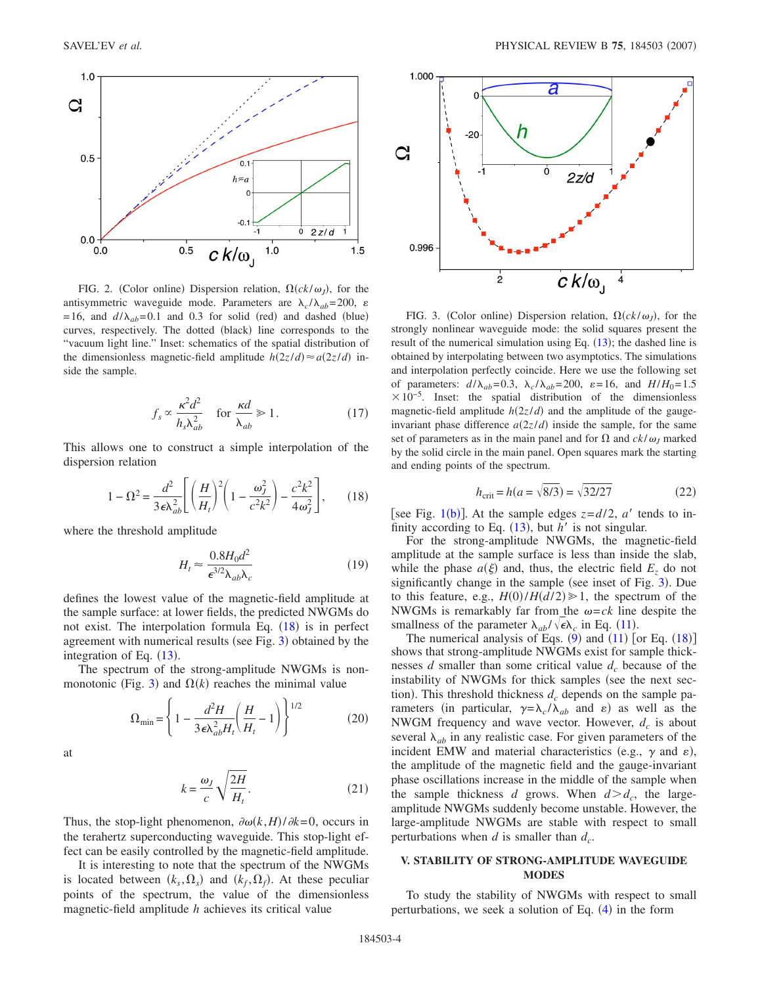<span id="page-3-0"></span>

FIG. 2. (Color online) Dispersion relation,  $\Omega(ck/\omega_J)$ , for the antisymmetric waveguide mode. Parameters are  $\lambda_c / \lambda_{ab} = 200$ ,  $\varepsilon$  $=16$ , and  $d/\lambda_{ab} = 0.1$  and 0.3 for solid (red) and dashed (blue) curves, respectively. The dotted (black) line corresponds to the "vacuum light line." Inset: schematics of the spatial distribution of the dimensionless magnetic-field amplitude  $h(2z/d) \approx a(2z/d)$  inside the sample.

$$
f_s \propto \frac{\kappa^2 d^2}{h_s \lambda_{ab}^2} \quad \text{for } \frac{\kappa d}{\lambda_{ab}} \ge 1. \tag{17}
$$

<span id="page-3-1"></span>This allows one to construct a simple interpolation of the dispersion relation

$$
1 - \Omega^2 = \frac{d^2}{3\epsilon\lambda_{ab}^2} \left[ \left(\frac{H}{H_t}\right)^2 \left(1 - \frac{\omega_J^2}{c^2 k^2}\right) - \frac{c^2 k^2}{4\omega_J^2} \right],\qquad(18)
$$

<span id="page-3-3"></span>where the threshold amplitude

$$
H_t \approx \frac{0.8H_0 d^2}{\epsilon^{3/2} \lambda_{ab} \lambda_c} \tag{19}
$$

defines the lowest value of the magnetic-field amplitude at the sample surface: at lower fields, the predicted NWGMs do not exist. The interpolation formula Eq.  $(18)$  $(18)$  $(18)$  is in perfect agreement with numerical results (see Fig. [3](#page-3-2)) obtained by the integration of Eq.  $(13)$  $(13)$  $(13)$ .

The spectrum of the strong-amplitude NWGMs is non-monotonic (Fig. [3](#page-3-2)) and  $\Omega(k)$  reaches the minimal value

$$
\Omega_{\min} = \left\{ 1 - \frac{d^2 H}{3\epsilon \lambda_{ab}^2 H_t} \left( \frac{H}{H_t} - 1 \right) \right\}^{1/2}
$$
 (20)

at

$$
k = \frac{\omega_J}{c} \sqrt{\frac{2H}{H_t}}.\tag{21}
$$

Thus, the stop-light phenomenon,  $\partial \omega(k, H) / \partial k = 0$ , occurs in the terahertz superconducting waveguide. This stop-light effect can be easily controlled by the magnetic-field amplitude.

It is interesting to note that the spectrum of the NWGMs is located between  $(k_s, \Omega_s)$  and  $(k_f, \Omega_f)$ . At these peculiar points of the spectrum, the value of the dimensionless magnetic-field amplitude *h* achieves its critical value

<span id="page-3-2"></span>

FIG. 3. (Color online) Dispersion relation,  $\Omega(ck/\omega_J)$ , for the strongly nonlinear waveguide mode: the solid squares present the result of the numerical simulation using Eq.  $(13)$  $(13)$  $(13)$ ; the dashed line is obtained by interpolating between two asymptotics. The simulations and interpolation perfectly coincide. Here we use the following set of parameters:  $d/\lambda_{ab} = 0.3$ ,  $\lambda_c/\lambda_{ab} = 200$ ,  $\varepsilon = 16$ , and  $H/H_0 = 1.5$  $\times 10^{-5}$ . Inset: the spatial distribution of the dimensionless magnetic-field amplitude  $h(2z/d)$  and the amplitude of the gaugeinvariant phase difference  $a(2z/d)$  inside the sample, for the same set of parameters as in the main panel and for  $\Omega$  and  $ck/\omega_J$  marked by the solid circle in the main panel. Open squares mark the starting and ending points of the spectrum.

$$
h_{\text{crit}} = h(a = \sqrt{8/3}) = \sqrt{32/27}
$$
 (22)

[see Fig. [1](#page-1-0)(b)]. At the sample edges  $z = d/2$ , *a'* tends to infinity according to Eq.  $(13)$  $(13)$  $(13)$ , but *h'* is not singular.

For the strong-amplitude NWGMs, the magnetic-field amplitude at the sample surface is less than inside the slab, while the phase  $a(\xi)$  and, thus, the electric field  $E_z$  do not significantly change in the sample (see inset of Fig. [3](#page-3-2)). Due to this feature, e.g.,  $H(0)/H(d/2) \ge 1$ , the spectrum of the NWGMs is remarkably far from the  $\omega = c k$  line despite the smallness of the parameter  $\lambda_{ab}/\sqrt{\epsilon} \lambda_c$  in Eq. ([11](#page-2-1)).

The numerical analysis of Eqs.  $(9)$  $(9)$  $(9)$  and  $(11)$  $(11)$  $(11)$  [or Eq.  $(18)$  $(18)$  $(18)$ ] shows that strong-amplitude NWGMs exist for sample thicknesses *d* smaller than some critical value  $d_c$  because of the instability of NWGMs for thick samples (see the next section). This threshold thickness  $d_c$  depends on the sample parameters (in particular,  $\gamma = \lambda_c / \lambda_{ab}$  and  $\varepsilon$ ) as well as the NWGM frequency and wave vector. However,  $d_c$  is about several  $\lambda_{ab}$  in any realistic case. For given parameters of the incident EMW and material characteristics (e.g.,  $\gamma$  and  $\varepsilon$ ), the amplitude of the magnetic field and the gauge-invariant phase oscillations increase in the middle of the sample when the sample thickness *d* grows. When  $d > d_c$ , the largeamplitude NWGMs suddenly become unstable. However, the large-amplitude NWGMs are stable with respect to small perturbations when  $d$  is smaller than  $d_c$ .

## **V. STABILITY OF STRONG-AMPLITUDE WAVEGUIDE MODES**

To study the stability of NWGMs with respect to small perturbations, we seek a solution of Eq.  $(4)$  $(4)$  $(4)$  in the form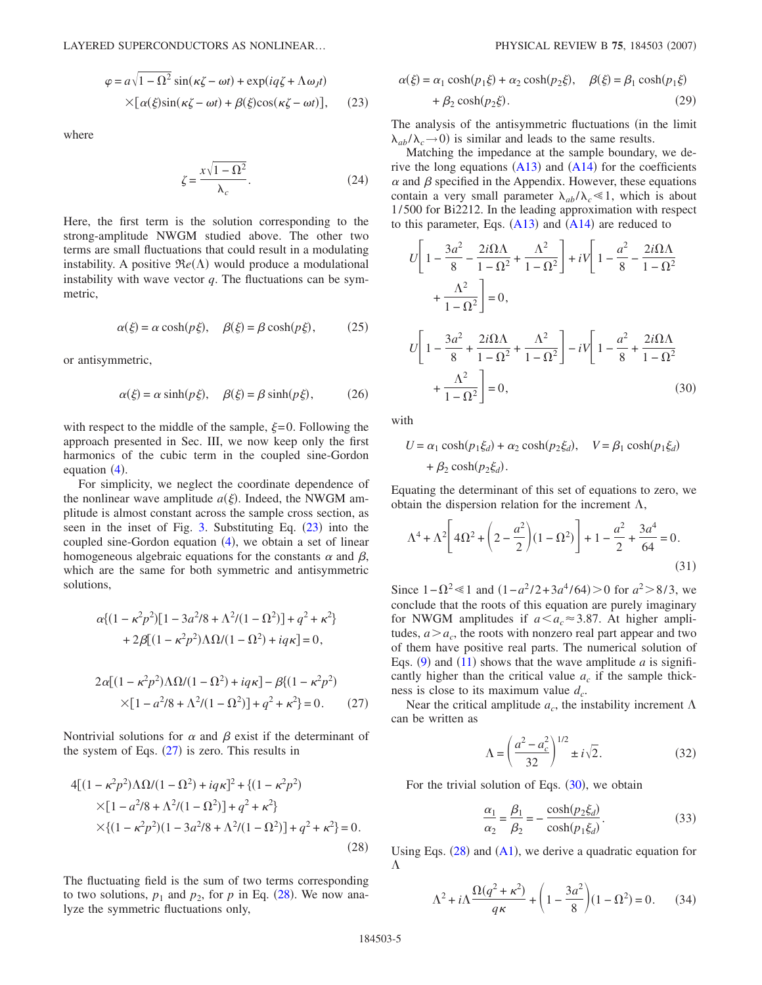<span id="page-4-0"></span>
$$
\varphi = a\sqrt{1 - \Omega^2} \sin(\kappa \zeta - \omega t) + \exp(i q \zeta + \Lambda \omega_J t)
$$
  
 
$$
\times [\alpha(\xi) \sin(\kappa \zeta - \omega t) + \beta(\xi) \cos(\kappa \zeta - \omega t)], \qquad (23)
$$

where

$$
\zeta = \frac{x\sqrt{1-\Omega^2}}{\lambda_c}.\tag{24}
$$

Here, the first term is the solution corresponding to the strong-amplitude NWGM studied above. The other two terms are small fluctuations that could result in a modulating instability. A positive  $\Re e(\Lambda)$  would produce a modulational instability with wave vector  $q$ . The fluctuations can be symmetric,

$$
\alpha(\xi) = \alpha \cosh(p\xi), \quad \beta(\xi) = \beta \cosh(p\xi), \quad (25)
$$

or antisymmetric,

$$
\alpha(\xi) = \alpha \sinh(p\xi), \quad \beta(\xi) = \beta \sinh(p\xi), \quad (26)
$$

with respect to the middle of the sample,  $\xi = 0$ . Following the approach presented in Sec. III, we now keep only the first harmonics of the cubic term in the coupled sine-Gordon equation  $(4)$  $(4)$  $(4)$ .

For simplicity, we neglect the coordinate dependence of the nonlinear wave amplitude  $a(\xi)$ . Indeed, the NWGM amplitude is almost constant across the sample cross section, as seen in the inset of Fig.  $3$ . Substituting Eq.  $(23)$  $(23)$  $(23)$  into the coupled sine-Gordon equation  $(4)$  $(4)$  $(4)$ , we obtain a set of linear homogeneous algebraic equations for the constants  $\alpha$  and  $\beta$ , which are the same for both symmetric and antisymmetric solutions,

<span id="page-4-1"></span>
$$
\alpha \{ (1 - \kappa^2 p^2) [1 - 3a^2/8 + \Lambda^2/(1 - \Omega^2)] + q^2 + \kappa^2 \} \n+ 2\beta [(1 - \kappa^2 p^2) \Lambda \Omega/(1 - \Omega^2) + iq\kappa] = 0,
$$
\n
$$
2\alpha [(1 - \kappa^2 p^2) \Lambda \Omega/(1 - \Omega^2) + iq\kappa] - \beta [(1 - \kappa^2 p^2) \n\times [1 - a^2/8 + \Lambda^2/(1 - \Omega^2)] + q^2 + \kappa^2 \} = 0.
$$
\n(27)

Nontrivial solutions for  $\alpha$  and  $\beta$  exist if the determinant of the system of Eqs.  $(27)$  $(27)$  $(27)$  is zero. This results in

<span id="page-4-2"></span>
$$
4[(1 - \kappa^2 p^2)\Lambda \Omega/(1 - \Omega^2) + iq\kappa]^2 + \{(1 - \kappa^2 p^2) \times [1 - a^2/8 + \Lambda^2/(1 - \Omega^2)] + q^2 + \kappa^2\} \times \{(1 - \kappa^2 p^2)(1 - 3a^2/8 + \Lambda^2/(1 - \Omega^2)] + q^2 + \kappa^2\} = 0.
$$
\n(28)

The fluctuating field is the sum of two terms corresponding to two solutions,  $p_1$  and  $p_2$ , for  $p$  in Eq. ([28](#page-4-2)). We now analyze the symmetric fluctuations only,

<span id="page-4-4"></span>
$$
\alpha(\xi) = \alpha_1 \cosh(p_1 \xi) + \alpha_2 \cosh(p_2 \xi), \quad \beta(\xi) = \beta_1 \cosh(p_1 \xi)
$$

$$
+ \beta_2 \cosh(p_2 \xi). \tag{29}
$$

The analysis of the antisymmetric fluctuations (in the limit  $\lambda_{ab}/\lambda_c$  
is similar and leads to the same results.

Matching the impedance at the sample boundary, we derive the long equations  $(A13)$  $(A13)$  $(A13)$  and  $(A14)$  $(A14)$  $(A14)$  for the coefficients  $\alpha$  and  $\beta$  specified in the Appendix. However, these equations contain a very small parameter  $\lambda_{ab}/\lambda_c \ll 1$ , which is about 1/500 for Bi2212. In the leading approximation with respect to this parameter, Eqs.  $(A13)$  $(A13)$  $(A13)$  and  $(A14)$  $(A14)$  $(A14)$  are reduced to

<span id="page-4-3"></span>
$$
U\left[1 - \frac{3a^2}{8} - \frac{2i\Omega\Lambda}{1 - \Omega^2} + \frac{\Lambda^2}{1 - \Omega^2}\right] + iV\left[1 - \frac{a^2}{8} - \frac{2i\Omega\Lambda}{1 - \Omega^2}\right]
$$

$$
+ \frac{\Lambda^2}{1 - \Omega^2}\right] = 0,
$$

$$
U\left[1 - \frac{3a^2}{8} + \frac{2i\Omega\Lambda}{1 - \Omega^2} + \frac{\Lambda^2}{1 - \Omega^2}\right] - iV\left[1 - \frac{a^2}{8} + \frac{2i\Omega\Lambda}{1 - \Omega^2}\right]
$$

$$
+ \frac{\Lambda^2}{1 - \Omega^2}\right] = 0,
$$
(30)

with

$$
U = \alpha_1 \cosh(p_1 \xi_d) + \alpha_2 \cosh(p_2 \xi_d), \quad V = \beta_1 \cosh(p_1 \xi_d)
$$

$$
+ \beta_2 \cosh(p_2 \xi_d).
$$

Equating the determinant of this set of equations to zero, we obtain the dispersion relation for the increment  $\Lambda$ ,

$$
\Lambda^4 + \Lambda^2 \left[ 4\Omega^2 + \left( 2 - \frac{a^2}{2} \right) (1 - \Omega^2) \right] + 1 - \frac{a^2}{2} + \frac{3a^4}{64} = 0. \tag{31}
$$

Since  $1 - \Omega^2 \le 1$  and  $(1 - a^2/2 + 3a^4/64) > 0$  for  $a^2 > 8/3$ , we conclude that the roots of this equation are purely imaginary for NWGM amplitudes if  $a \le a_c \approx 3.87$ . At higher amplitudes,  $a > a_c$ , the roots with nonzero real part appear and two of them have positive real parts. The numerical solution of Eqs.  $(9)$  $(9)$  $(9)$  and  $(11)$  $(11)$  $(11)$  shows that the wave amplitude *a* is significantly higher than the critical value  $a_c$  if the sample thickness is close to its maximum value *dc*.

Near the critical amplitude  $a_c$ , the instability increment  $\Lambda$ can be written as

$$
\Lambda = \left(\frac{a^2 - a_c^2}{32}\right)^{1/2} \pm i\sqrt{2}.
$$
 (32)

For the trivial solution of Eqs.  $(30)$  $(30)$  $(30)$ , we obtain

$$
\frac{\alpha_1}{\alpha_2} = \frac{\beta_1}{\beta_2} = -\frac{\cosh(p_2 \xi_d)}{\cosh(p_1 \xi_d)}.
$$
\n(33)

Using Eqs.  $(28)$  $(28)$  $(28)$  and  $(A1)$  $(A1)$  $(A1)$ , we derive a quadratic equation for  $\Lambda$ 

$$
\Lambda^2 + i\Lambda \frac{\Omega(q^2 + \kappa^2)}{q\kappa} + \left(1 - \frac{3a^2}{8}\right)(1 - \Omega^2) = 0. \tag{34}
$$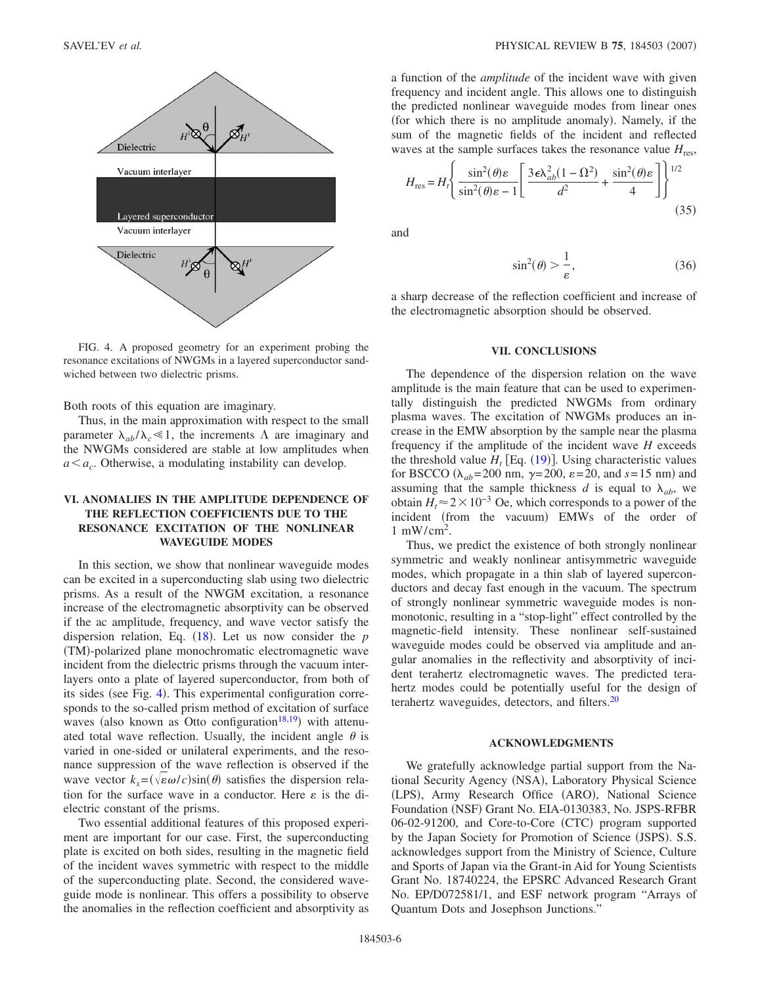<span id="page-5-0"></span>

FIG. 4. A proposed geometry for an experiment probing the resonance excitations of NWGMs in a layered superconductor sandwiched between two dielectric prisms.

Both roots of this equation are imaginary.

Thus, in the main approximation with respect to the small parameter  $\lambda_{ab}/\lambda_c \ll 1$ , the increments  $\Lambda$  are imaginary and the NWGMs considered are stable at low amplitudes when  $a \le a_c$ . Otherwise, a modulating instability can develop.

# **VI. ANOMALIES IN THE AMPLITUDE DEPENDENCE OF THE REFLECTION COEFFICIENTS DUE TO THE RESONANCE EXCITATION OF THE NONLINEAR WAVEGUIDE MODES**

In this section, we show that nonlinear waveguide modes can be excited in a superconducting slab using two dielectric prisms. As a result of the NWGM excitation, a resonance increase of the electromagnetic absorptivity can be observed if the ac amplitude, frequency, and wave vector satisfy the dispersion relation, Eq. ([18](#page-3-1)). Let us now consider the *p* TM--polarized plane monochromatic electromagnetic wave incident from the dielectric prisms through the vacuum interlayers onto a plate of layered superconductor, from both of its sides (see Fig. [4](#page-5-0)). This experimental configuration corresponds to the so-called prism method of excitation of surface waves (also known as Otto configuration<sup>18[,19](#page-7-10)</sup>) with attenuated total wave reflection. Usually, the incident angle  $\theta$  is varied in one-sided or unilateral experiments, and the resonance suppression of the wave reflection is observed if the wave vector  $k_x = (\sqrt{\epsilon \omega/c})\sin(\theta)$  satisfies the dispersion relation for the surface wave in a conductor. Here  $\varepsilon$  is the dielectric constant of the prisms.

Two essential additional features of this proposed experiment are important for our case. First, the superconducting plate is excited on both sides, resulting in the magnetic field of the incident waves symmetric with respect to the middle of the superconducting plate. Second, the considered waveguide mode is nonlinear. This offers a possibility to observe the anomalies in the reflection coefficient and absorptivity as a function of the *amplitude* of the incident wave with given frequency and incident angle. This allows one to distinguish the predicted nonlinear waveguide modes from linear ones (for which there is no amplitude anomaly). Namely, if the sum of the magnetic fields of the incident and reflected waves at the sample surfaces takes the resonance value  $H_{res}$ ,

$$
H_{\rm res} = H_t \left\{ \frac{\sin^2(\theta)\varepsilon}{\sin^2(\theta)\varepsilon - 1} \left[ \frac{3\varepsilon \lambda_{ab}^2 (1 - \Omega^2)}{d^2} + \frac{\sin^2(\theta)\varepsilon}{4} \right] \right\}^{1/2}
$$
(35)

and

$$
\sin^2(\theta) > \frac{1}{\varepsilon},\tag{36}
$$

a sharp decrease of the reflection coefficient and increase of the electromagnetic absorption should be observed.

#### **VII. CONCLUSIONS**

The dependence of the dispersion relation on the wave amplitude is the main feature that can be used to experimentally distinguish the predicted NWGMs from ordinary plasma waves. The excitation of NWGMs produces an increase in the EMW absorption by the sample near the plasma frequency if the amplitude of the incident wave *H* exceeds the threshold value  $H_t$  [Eq. ([19](#page-3-3))]. Using characteristic values for BSCCO ( $\lambda_{ab}$ =200 nm,  $\gamma$ =200,  $\varepsilon$ =20, and  $s$ =15 nm) and assuming that the sample thickness *d* is equal to  $\lambda_{ab}$ , we obtain  $H_t$ <sup> $\approx$ </sup> 2  $\times$  10<sup>-3</sup> Oe, which corresponds to a power of the incident (from the vacuum) EMWs of the order of 1 mW/cm2 .

Thus, we predict the existence of both strongly nonlinear symmetric and weakly nonlinear antisymmetric waveguide modes, which propagate in a thin slab of layered superconductors and decay fast enough in the vacuum. The spectrum of strongly nonlinear symmetric waveguide modes is nonmonotonic, resulting in a "stop-light" effect controlled by the magnetic-field intensity. These nonlinear self-sustained waveguide modes could be observed via amplitude and angular anomalies in the reflectivity and absorptivity of incident terahertz electromagnetic waves. The predicted terahertz modes could be potentially useful for the design of terahertz waveguides, detectors, and filters.<sup>20</sup>

### **ACKNOWLEDGMENTS**

We gratefully acknowledge partial support from the National Security Agency (NSA), Laboratory Physical Science (LPS), Army Research Office (ARO), National Science Foundation (NSF) Grant No. EIA-0130383, No. JSPS-RFBR 06-02-91200, and Core-to-Core (CTC) program supported by the Japan Society for Promotion of Science (JSPS). S.S. acknowledges support from the Ministry of Science, Culture and Sports of Japan via the Grant-in Aid for Young Scientists Grant No. 18740224, the EPSRC Advanced Research Grant No. EP/D072581/1, and ESF network program "Arrays of Quantum Dots and Josephson Junctions."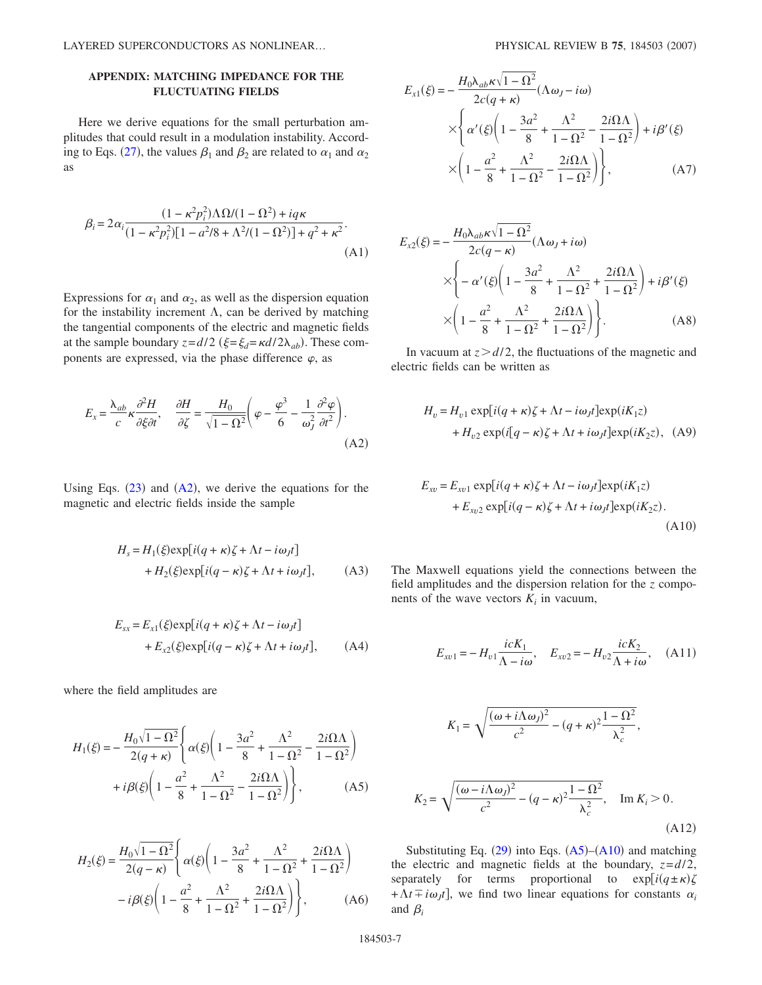# **APPENDIX: MATCHING IMPEDANCE FOR THE FLUCTUATING FIELDS**

Here we derive equations for the small perturbation amplitudes that could result in a modulation instability. Accord-ing to Eqs. ([27](#page-4-1)), the values  $\beta_1$  and  $\beta_2$  are related to  $\alpha_1$  and  $\alpha_2$ as

<span id="page-6-0"></span>
$$
\beta_i = 2\alpha_i \frac{(1 - \kappa^2 p_i^2) \Lambda \Omega / (1 - \Omega^2) + i q \kappa}{(1 - \kappa^2 p_i^2) [1 - a^2 / 8 + \Lambda^2 / (1 - \Omega^2)] + q^2 + \kappa^2}.
$$
\n(A1)

Expressions for  $\alpha_1$  and  $\alpha_2$ , as well as the dispersion equation for the instability increment  $\Lambda$ , can be derived by matching the tangential components of the electric and magnetic fields at the sample boundary  $z = d/2$  ( $\xi = \xi_d = \kappa d/2\lambda_{ab}$ ). These components are expressed, via the phase difference  $\varphi$ , as

<span id="page-6-1"></span>
$$
E_x = \frac{\lambda_{ab}}{c} \kappa \frac{\partial^2 H}{\partial \xi \partial t}, \quad \frac{\partial H}{\partial \zeta} = \frac{H_0}{\sqrt{1 - \Omega^2}} \left( \varphi - \frac{\varphi^3}{6} - \frac{1}{\omega_J^2} \frac{\partial^2 \varphi}{\partial t^2} \right).
$$
\n(A2)

Using Eqs.  $(23)$  $(23)$  $(23)$  and  $(A2)$  $(A2)$  $(A2)$ , we derive the equations for the magnetic and electric fields inside the sample

$$
H_s = H_1(\xi) \exp[i(q + \kappa)\zeta + \Lambda t - i\omega_J t]
$$
  
+ 
$$
H_2(\xi) \exp[i(q - \kappa)\zeta + \Lambda t + i\omega_J t],
$$
 (A3)

$$
E_{sx} = E_{x1}(\xi) \exp[i(q + \kappa)\zeta + \Lambda t - i\omega_J t]
$$
  
+ 
$$
E_{x2}(\xi) \exp[i(q - \kappa)\zeta + \Lambda t + i\omega_J t],
$$
 (A4)

where the field amplitudes are

$$
H_1(\xi) = -\frac{H_0\sqrt{1-\Omega^2}}{2(q+\kappa)} \left\{ \alpha(\xi) \left( 1 - \frac{3a^2}{8} + \frac{\Lambda^2}{1-\Omega^2} - \frac{2i\Omega\Lambda}{1-\Omega^2} \right) + i\beta(\xi) \left( 1 - \frac{a^2}{8} + \frac{\Lambda^2}{1-\Omega^2} - \frac{2i\Omega\Lambda}{1-\Omega^2} \right) \right\},
$$
 (A5)

$$
H_2(\xi) = \frac{H_0 \sqrt{1 - \Omega^2}}{2(q - \kappa)} \left\{ \alpha(\xi) \left( 1 - \frac{3a^2}{8} + \frac{\Lambda^2}{1 - \Omega^2} + \frac{2i\Omega\Lambda}{1 - \Omega^2} \right) - i\beta(\xi) \left( 1 - \frac{a^2}{8} + \frac{\Lambda^2}{1 - \Omega^2} + \frac{2i\Omega\Lambda}{1 - \Omega^2} \right) \right\},
$$
 (A6)

$$
E_{x1}(\xi) = -\frac{H_0 \lambda_{ab} \kappa \sqrt{1 - \Omega^2}}{2c(q + \kappa)} (\Lambda \omega_J - i\omega)
$$
  
 
$$
\times \left\{ \alpha'(\xi) \left( 1 - \frac{3a^2}{8} + \frac{\Lambda^2}{1 - \Omega^2} - \frac{2i\Omega\Lambda}{1 - \Omega^2} \right) + i\beta'(\xi)
$$
  
 
$$
\times \left( 1 - \frac{a^2}{8} + \frac{\Lambda^2}{1 - \Omega^2} - \frac{2i\Omega\Lambda}{1 - \Omega^2} \right) \right\}, \tag{A7}
$$

$$
E_{x2}(\xi) = -\frac{H_0 \lambda_{ab} \kappa \sqrt{1 - \Omega^2}}{2c(q - \kappa)} (\Lambda \omega_J + i\omega)
$$
  
 
$$
\times \left\{ -\alpha'(\xi) \left( 1 - \frac{3a^2}{8} + \frac{\Lambda^2}{1 - \Omega^2} + \frac{2i\Omega\Lambda}{1 - \Omega^2} \right) + i\beta'(\xi)
$$
  
 
$$
\times \left( 1 - \frac{a^2}{8} + \frac{\Lambda^2}{1 - \Omega^2} + \frac{2i\Omega\Lambda}{1 - \Omega^2} \right) \right\}.
$$
 (A8)

In vacuum at  $z > d/2$ , the fluctuations of the magnetic and electric fields can be written as

$$
H_v = H_{v1} \exp[i(q + \kappa)\zeta + \Lambda t - i\omega_J t] \exp(iK_1 z)
$$
  
+ 
$$
H_{v2} \exp(i[q - \kappa)\zeta + \Lambda t + i\omega_J t] \exp(iK_2 z), \quad (A9)
$$

<span id="page-6-2"></span>
$$
E_{xv} = E_{xv1} \exp[i(q + \kappa)\zeta + \Lambda t - i\omega_J t] \exp(iK_1 z)
$$
  
+ 
$$
E_{xv2} \exp[i(q - \kappa)\zeta + \Lambda t + i\omega_J t] \exp(iK_2 z).
$$
(A10)

The Maxwell equations yield the connections between the field amplitudes and the dispersion relation for the *z* components of the wave vectors  $K_i$  in vacuum,

$$
E_{xv1} = -H_{v1} \frac{icK_1}{\Lambda - i\omega}, \quad E_{xv2} = -H_{v2} \frac{icK_2}{\Lambda + i\omega}, \quad (A11)
$$

$$
K_1 = \sqrt{\frac{(\omega + i\Lambda\omega_J)^2}{c^2} - (q + \kappa)^2 \frac{1 - \Omega^2}{\lambda_c^2}},
$$
  

$$
K_2 = \sqrt{\frac{(\omega - i\Lambda\omega_J)^2}{c^2} - (q - \kappa)^2 \frac{1 - \Omega^2}{\lambda_c^2}}, \quad \text{Im } K_i > 0.
$$
(A12)

Substituting Eq.  $(29)$  $(29)$  $(29)$  into Eqs.  $(A5)$  $(A5)$  $(A5)$ – $(A10)$  $(A10)$  $(A10)$  and matching the electric and magnetic fields at the boundary,  $z = d/2$ , separately for terms proportional to  $\exp[i(q \pm \kappa)\zeta]$  $+\Lambda t \pm i\omega_j t$ , we find two linear equations for constants  $\alpha_i$ and  $\beta_i$